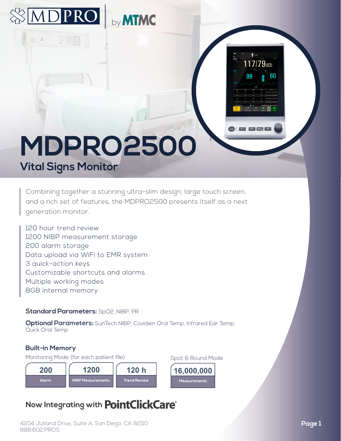

**ADPRO** by MTMC

Combining together a stunning ultra-slim design, large touch screen, and a rich set of features, the MDPRO2500 presents itself as a next generation monitor.

120 hour trend review 1200 NIBP measurement storage 200 alarm storage Data upload via WiFi to EMR system 3 quick-action keys Customizable shortcuts and alarms Multiple working modes 8GB internal memory

#### **Standard Parameters:** SpO2, NIBP, PR

**Optional Parameters:** SunTech NIBP, Covidien Oral Temp, Infrared Ear Temp, Quick Oral Temp

#### **Built-in Memory**

Monitoring Mode (for each patient file) Spot & Round Mode



# **Now Integrating with PointClickCare®**

 $117/79$ <sub>(83)</sub>

60

99